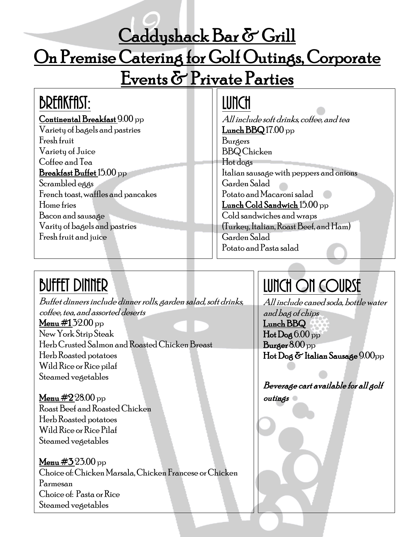#### Caddyshack Bar & Grill

### On Premise Catering for Golf Outings, Corporate

# Events & Private Parties

### **BREAKFAST:**

Continental Breakfast 9.00 pp

Variety of bagels and pastries Fresh fruit Variety of Juice Coffee and Tea Breakfast Buffet 15.00 pp Scrambled eggs French toast,waffles and pancakes Home fries Bacon and sausage

Varity of bagels and pastries Fresh fruit and juice

#### Lunch

All include soft drinks, coffee, and tea Lunch  $BBQ17.00$  pp Burgers BBQ Chicken Hot dogs Italian sausage with peppers and onions Garden Salad Potato and Macaroni salad Lunch Cold Sandwich 15.00 pp Cold sandwiches and wraps (Turkey, Italian, Roast Beef, and Ham) Garden Salad Potato and Pasta salad

# **BUFFET DINNER**

Buffet dinners include dinner rolls, garden salad, soft drinks, coffee, tea, and assorted deserts Menu  $\#132.00$  pp New York Strip Steak Herb Crusted Salmon andRoastedChickenBreast Herb Roasted potatoes Wild Rice or Rice pilaf Steamed vegetables

Menu  $\#2\,28.00$  pp Roast Beef and Roasted Chicken Herb Roasted potatoes Wild Rice or Rice Pilaf Steamed vegetables

**Menu #3** 23.00 pp Choice of: Chicken Marsala, Chicken Francese or Chicken Parmesan Choice of: Pasta or Rice Steamed vegetables

# Lunch ON COURSE

All include caned soda, bottle water and bag of chips Lunch BBQ  $Hot$  Dog  $6.00$  pp Burger 8.00 pp Hot Dog & Italian Sausage 9.00pp

Beverage cart available for all golf outings